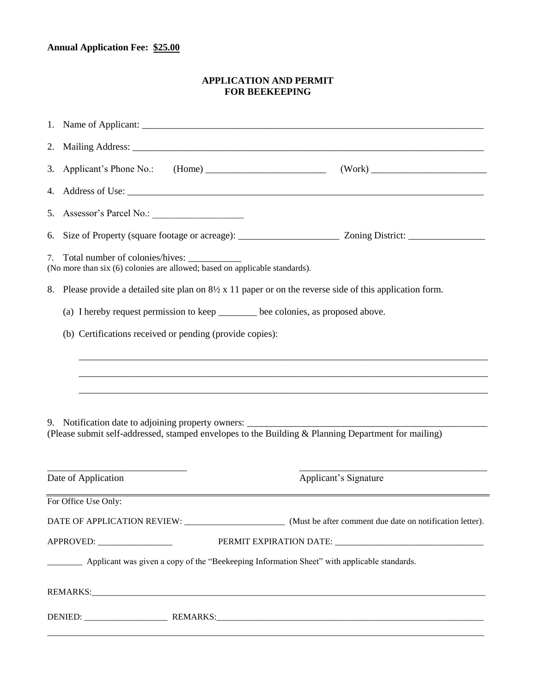## **Annual Application Fee: \$25.00**

## **APPLICATION AND PERMIT FOR BEEKEEPING**

| 3.                         |                                                                                                          | Applicant's Phone No.: (Home) (Work)                                                                                                                 |
|----------------------------|----------------------------------------------------------------------------------------------------------|------------------------------------------------------------------------------------------------------------------------------------------------------|
| 4.                         |                                                                                                          |                                                                                                                                                      |
| 5.                         |                                                                                                          |                                                                                                                                                      |
| 6.                         |                                                                                                          |                                                                                                                                                      |
| 7.                         | (No more than six (6) colonies are allowed; based on applicable standards).                              |                                                                                                                                                      |
|                            | 8. Please provide a detailed site plan on 8½ x 11 paper or on the reverse side of this application form. |                                                                                                                                                      |
|                            | (a) I hereby request permission to keep _______ bee colonies, as proposed above.                         |                                                                                                                                                      |
|                            | (b) Certifications received or pending (provide copies):                                                 |                                                                                                                                                      |
|                            |                                                                                                          | ,我们也不能在这里的,我们也不能在这里的时候,我们也不能在这里的时候,我们也不能不能在这里的时候,我们也不能不能不能会不能不能。<br>第2012章 我们的时候,我们的时候,我们的时候,我们的时候,我们的时候,我们的时候,我们的时候,我们的时候,我们的时候,我们的时候,我们的时候,我们的时候,我 |
|                            |                                                                                                          |                                                                                                                                                      |
|                            |                                                                                                          |                                                                                                                                                      |
|                            | 9. Notification date to adjoining property owners: _____________________________                         |                                                                                                                                                      |
|                            |                                                                                                          | (Please submit self-addressed, stamped envelopes to the Building & Planning Department for mailing)                                                  |
|                            |                                                                                                          |                                                                                                                                                      |
|                            | Date of Application                                                                                      | Applicant's Signature                                                                                                                                |
|                            | For Office Use Only:                                                                                     |                                                                                                                                                      |
|                            |                                                                                                          |                                                                                                                                                      |
| APPROVED: ________________ |                                                                                                          |                                                                                                                                                      |
|                            | __________ Applicant was given a copy of the "Beekeeping Information Sheet" with applicable standards.   |                                                                                                                                                      |
|                            |                                                                                                          |                                                                                                                                                      |
|                            |                                                                                                          |                                                                                                                                                      |
|                            |                                                                                                          |                                                                                                                                                      |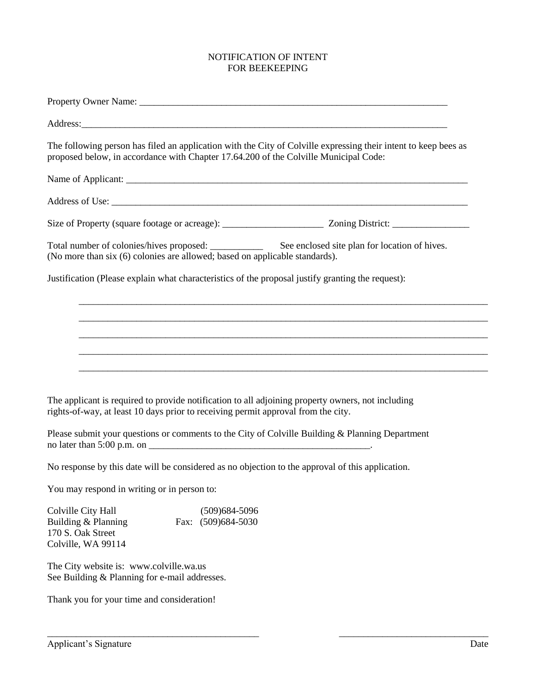## NOTIFICATION OF INTENT FOR BEEKEEPING

| Property Owner Name: Name:                                                                                                                                                                              |
|---------------------------------------------------------------------------------------------------------------------------------------------------------------------------------------------------------|
|                                                                                                                                                                                                         |
| The following person has filed an application with the City of Colville expressing their intent to keep bees as<br>proposed below, in accordance with Chapter 17.64.200 of the Colville Municipal Code: |
|                                                                                                                                                                                                         |
|                                                                                                                                                                                                         |
|                                                                                                                                                                                                         |
| Total number of colonies/hives proposed: __________<br>See enclosed site plan for location of hives.<br>(No more than six (6) colonies are allowed; based on applicable standards).                     |
| Justification (Please explain what characteristics of the proposal justify granting the request):                                                                                                       |
|                                                                                                                                                                                                         |
|                                                                                                                                                                                                         |
|                                                                                                                                                                                                         |
|                                                                                                                                                                                                         |
| The applicant is required to provide notification to all adjoining property owners, not including<br>rights-of-way, at least 10 days prior to receiving permit approval from the city.                  |
| Please submit your questions or comments to the City of Colville Building & Planning Department                                                                                                         |
| No response by this date will be considered as no objection to the approval of this application.                                                                                                        |
| You may respond in writing or in person to:                                                                                                                                                             |
| Colville City Hall<br>$(509)684 - 5096$<br>Building & Planning<br>Fax: (509)684-5030<br>170 S. Oak Street<br>Colville, WA 99114                                                                         |

\_\_\_\_\_\_\_\_\_\_\_\_\_\_\_\_\_\_\_\_\_\_\_\_\_\_\_\_\_\_\_\_\_\_\_\_\_\_\_\_\_\_\_\_ \_\_\_\_\_\_\_\_\_\_\_\_\_\_\_\_\_\_\_\_\_\_\_\_\_\_\_\_\_\_\_

The City website is: [www.colville.wa.us](http://www.colville.wa.us/) See Building & Planning for e-mail addresses.

Thank you for your time and consideration!